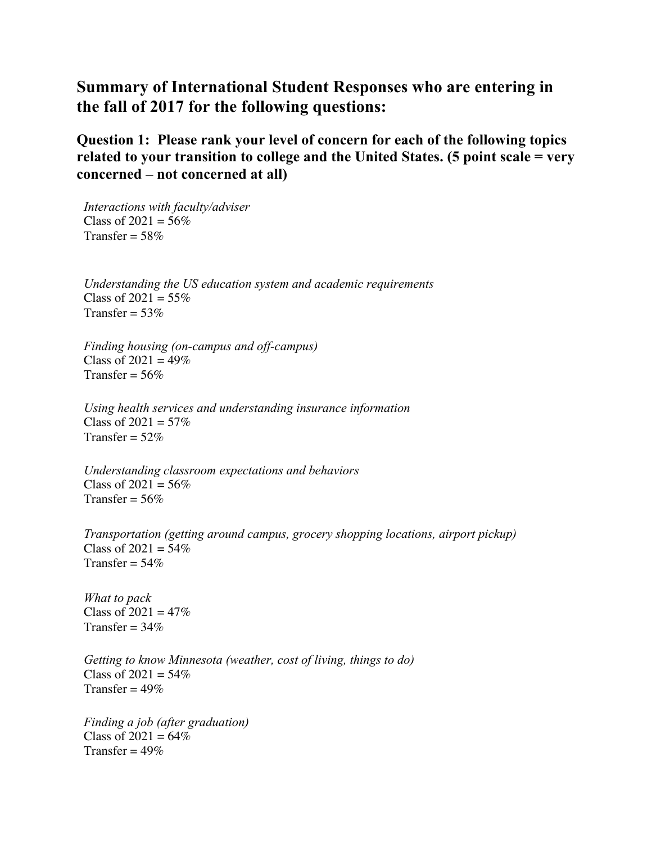## **Summary of International Student Responses who are entering in the fall of 2017 for the following questions:**

**Question 1: Please rank your level of concern for each of the following topics related to your transition to college and the United States. (5 point scale = very concerned – not concerned at all)**

*Interactions with faculty/adviser* Class of  $2021 = 56\%$ Transfer =  $58\%$ 

*Understanding the US education system and academic requirements* Class of  $2021 = 55\%$ Transfer =  $53\%$ 

*Finding housing (on-campus and off-campus)* Class of  $2021 = 49\%$ Transfer =  $56\%$ 

*Using health services and understanding insurance information* Class of  $2021 = 57\%$ Transfer =  $52\%$ 

*Understanding classroom expectations and behaviors* Class of  $2021 = 56\%$ Transfer =  $56\%$ 

*Transportation (getting around campus, grocery shopping locations, airport pickup)* Class of  $2021 = 54\%$ Transfer =  $54\%$ 

*What to pack* Class of  $2021 = 47\%$ Transfer =  $34\%$ 

*Getting to know Minnesota (weather, cost of living, things to do)* Class of  $2021 = 54\%$ Transfer =  $49\%$ 

*Finding a job (after graduation)* Class of  $2021 = 64\%$ Transfer =  $49\%$